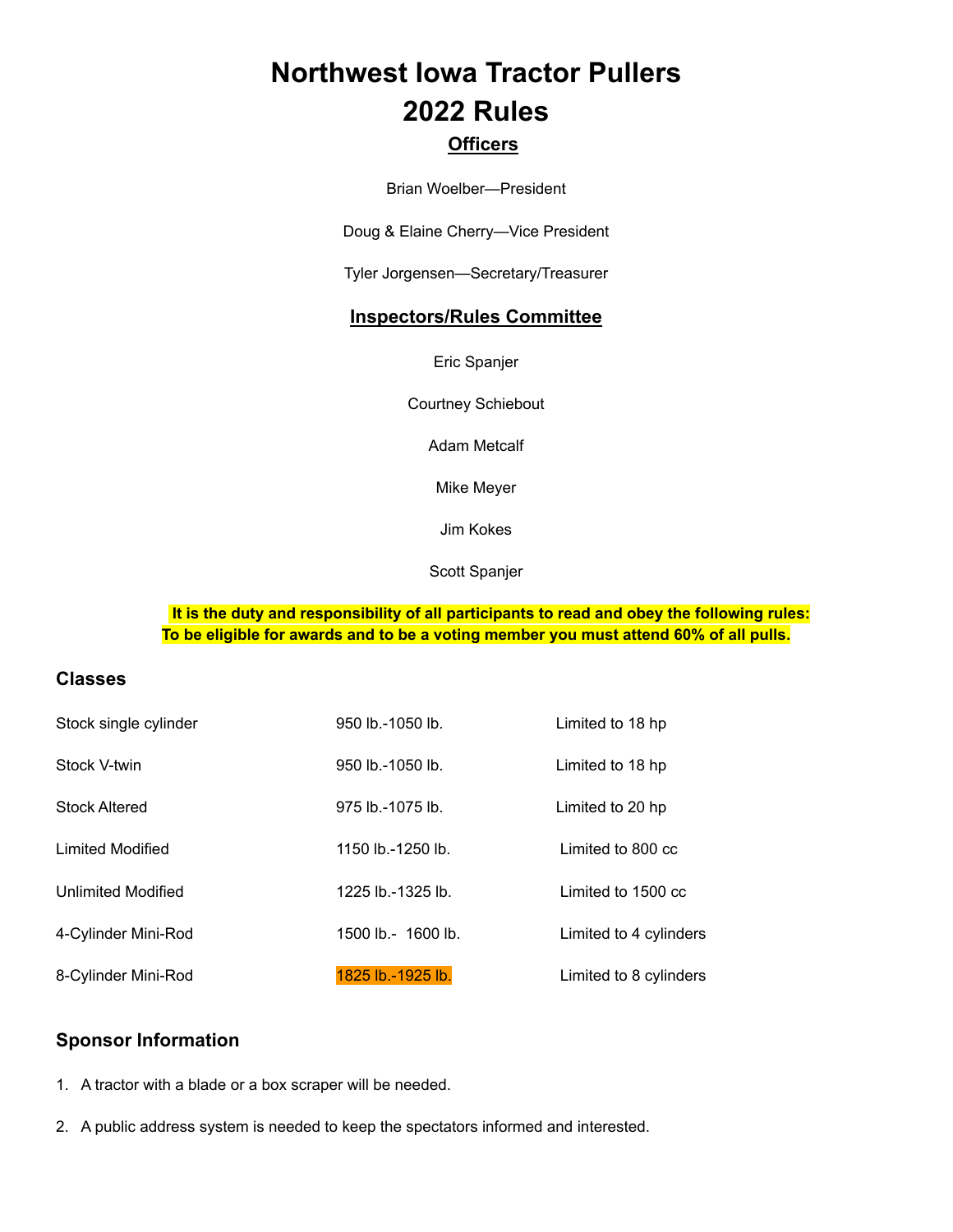# **Northwest Iowa Tractor Pullers 2022 Rules**

# **Officers**

Brian Woelber—President

Doug & Elaine Cherry—Vice President

Tyler Jorgensen—Secretary/Treasurer

# **Inspectors/Rules Committee**

Eric Spanjer

Courtney Schiebout

Adam Metcalf

Mike Meyer

Jim Kokes

Scott Spanjer

## **It is the duty and responsibility of all participants to read and obey the following rules: To be eligible for awards and to be a voting member you must attend 60% of all pulls.**

# **Classes**

| Stock single cylinder | 950 lb.-1050 lb.   | Limited to 18 hp       |
|-----------------------|--------------------|------------------------|
| Stock V-twin          | 950 lb.-1050 lb.   | Limited to 18 hp       |
| <b>Stock Altered</b>  | 975 lb.-1075 lb.   | Limited to 20 hp       |
| Limited Modified      | 1150 lb.-1250 lb.  | Limited to 800 cc      |
| Unlimited Modified    | 1225 lb.-1325 lb.  | Limited to 1500 cc     |
| 4-Cylinder Mini-Rod   | 1500 lb.- 1600 lb. | Limited to 4 cylinders |
| 8-Cylinder Mini-Rod   | 1825 lb.-1925 lb.  | Limited to 8 cylinders |

# **Sponsor Information**

1. A tractor with a blade or a box scraper will be needed.

2. A public address system is needed to keep the spectators informed and interested.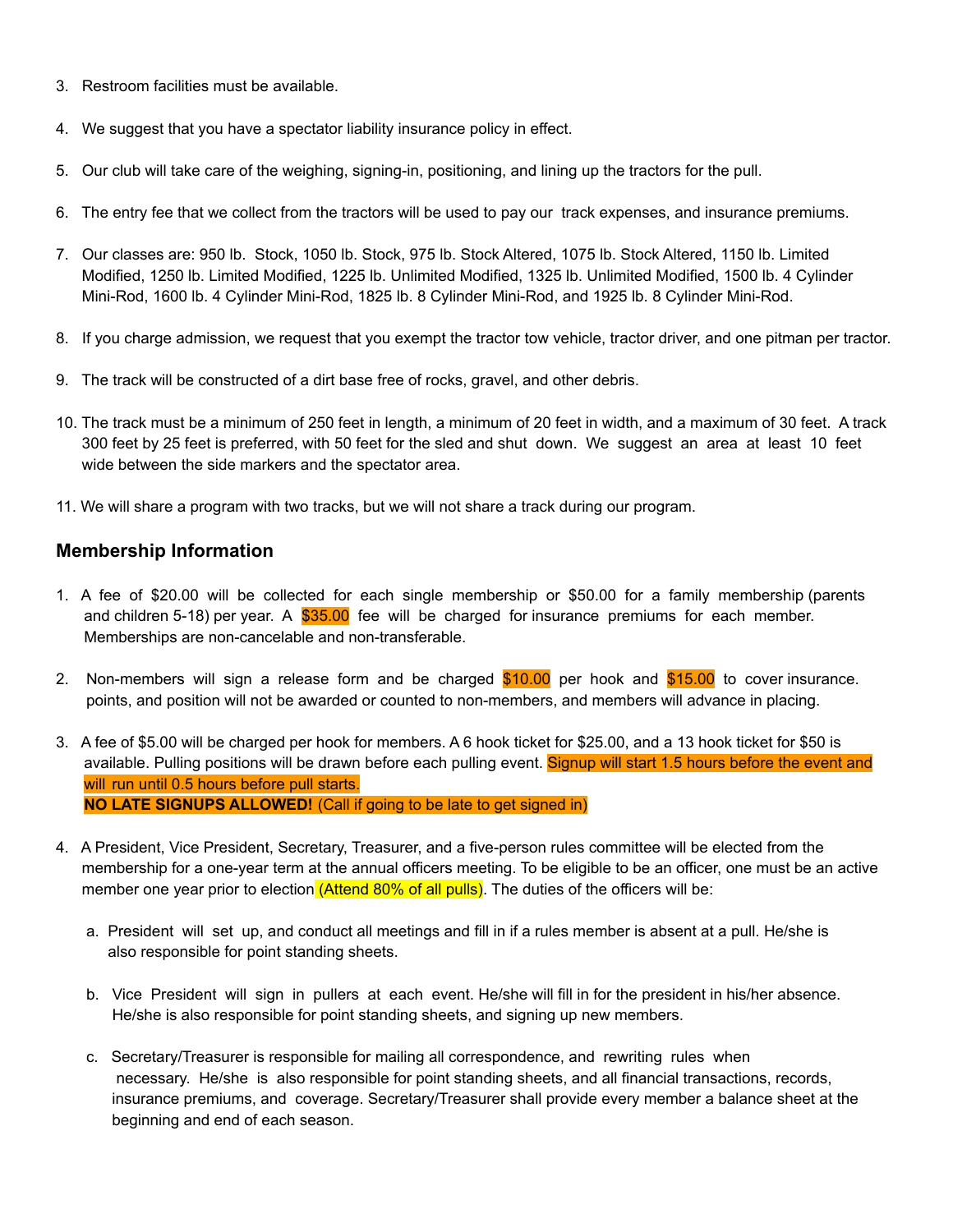- 3. Restroom facilities must be available.
- 4. We suggest that you have a spectator liability insurance policy in effect.
- 5. Our club will take care of the weighing, signing-in, positioning, and lining up the tractors for the pull.
- 6. The entry fee that we collect from the tractors will be used to pay our track expenses, and insurance premiums.
- 7. Our classes are: 950 lb. Stock, 1050 lb. Stock, 975 lb. Stock Altered, 1075 lb. Stock Altered, 1150 lb. Limited Modified, 1250 lb. Limited Modified, 1225 lb. Unlimited Modified, 1325 lb. Unlimited Modified, 1500 lb. 4 Cylinder Mini-Rod, 1600 lb. 4 Cylinder Mini-Rod, 1825 lb. 8 Cylinder Mini-Rod, and 1925 lb. 8 Cylinder Mini-Rod.
- 8. If you charge admission, we request that you exempt the tractor tow vehicle, tractor driver, and one pitman per tractor.
- 9. The track will be constructed of a dirt base free of rocks, gravel, and other debris.
- 10. The track must be a minimum of 250 feet in length, a minimum of 20 feet in width, and a maximum of 30 feet. A track 300 feet by 25 feet is preferred, with 50 feet for the sled and shut down. We suggest an area at least 10 feet wide between the side markers and the spectator area.
- 11. We will share a program with two tracks, but we will not share a track during our program.

# **Membership Information**

- 1. A fee of \$20.00 will be collected for each single membership or \$50.00 for a family membership (parents and children 5-18) per year. A \$35.00 fee will be charged for insurance premiums for each member. Memberships are non-cancelable and non-transferable.
- 2. Non-members will sign a release form and be charged  $$10.00$  per hook and  $$15.00$  to cover insurance. points, and position will not be awarded or counted to non-members, and members will advance in placing.
- 3. A fee of \$5.00 will be charged per hook for members. A 6 hook ticket for \$25.00, and a 13 hook ticket for \$50 is available. Pulling positions will be drawn before each pulling event. Signup will start 1.5 hours before the event and will run until 0.5 hours before pull starts. **NO LATE SIGNUPS ALLOWED!** (Call if going to be late to get signed in)
- 4. A President, Vice President, Secretary, Treasurer, and a five-person rules committee will be elected from the membership for a one-year term at the annual officers meeting. To be eligible to be an officer, one must be an active member one year prior to election (Attend 80% of all pulls). The duties of the officers will be:
	- a. President will set up, and conduct all meetings and fill in if a rules member is absent at a pull. He/she is also responsible for point standing sheets.
	- b. Vice President will sign in pullers at each event. He/she will fill in for the president in his/her absence. He/she is also responsible for point standing sheets, and signing up new members.
	- c. Secretary/Treasurer is responsible for mailing all correspondence, and rewriting rules when necessary. He/she is also responsible for point standing sheets, and all financial transactions, records, insurance premiums, and coverage. Secretary/Treasurer shall provide every member a balance sheet at the beginning and end of each season.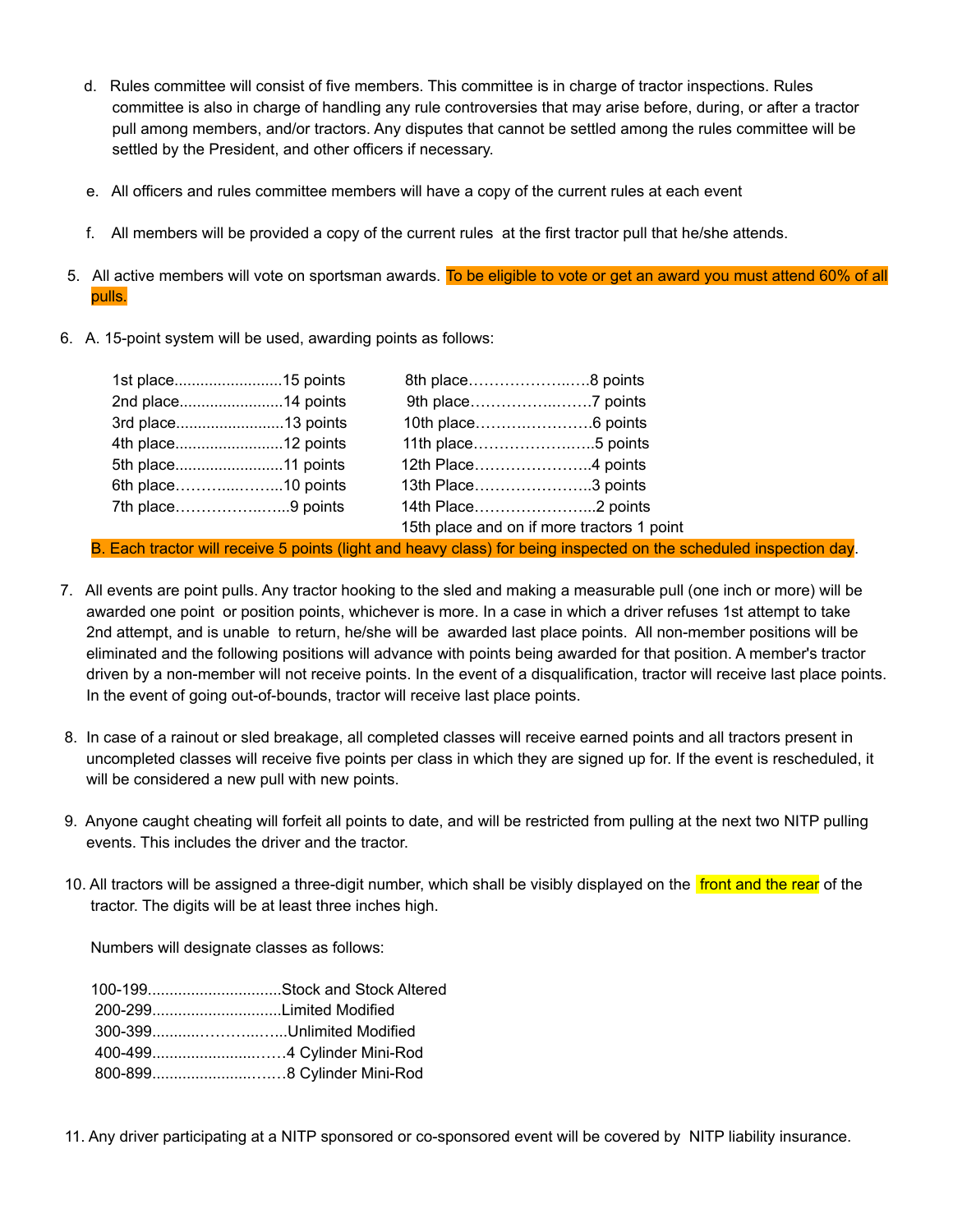- d. Rules committee will consist of five members. This committee is in charge of tractor inspections. Rules committee is also in charge of handling any rule controversies that may arise before, during, or after a tractor pull among members, and/or tractors. Any disputes that cannot be settled among the rules committee will be settled by the President, and other officers if necessary.
- e. All officers and rules committee members will have a copy of the current rules at each event
- f. All members will be provided a copy of the current rules at the first tractor pull that he/she attends.
- 5. All active members will vote on sportsman awards. To be eligible to vote or get an award you must attend 60% of all pulls.
- 6. A. 15-point system will be used, awarding points as follows:

|                   | 2nd place14 points |                    |                                            |
|-------------------|--------------------|--------------------|--------------------------------------------|
|                   | 3rd place13 points |                    |                                            |
|                   | 4th place12 points | 11th place5 points |                                            |
|                   | 5th place11 points |                    |                                            |
|                   | 6th place10 points | 13th Place3 points |                                            |
| 7th place9 points |                    |                    |                                            |
|                   |                    |                    | 15th place and on if more tractors 1 point |

B. Each tractor will receive 5 points (light and heavy class) for being inspected on the scheduled inspection day.

- 7. All events are point pulls. Any tractor hooking to the sled and making a measurable pull (one inch or more) will be awarded one point or position points, whichever is more. In a case in which a driver refuses 1st attempt to take 2nd attempt, and is unable to return, he/she will be awarded last place points. All non-member positions will be eliminated and the following positions will advance with points being awarded for that position. A member's tractor driven by a non-member will not receive points. In the event of a disqualification, tractor will receive last place points. In the event of going out-of-bounds, tractor will receive last place points.
- 8. In case of a rainout or sled breakage, all completed classes will receive earned points and all tractors present in uncompleted classes will receive five points per class in which they are signed up for. If the event is rescheduled, it will be considered a new pull with new points.
- 9. Anyone caught cheating will forfeit all points to date, and will be restricted from pulling at the next two NITP pulling events. This includes the driver and the tractor.
- 10. All tractors will be assigned a three-digit number, which shall be visibly displayed on the front and the rear of the tractor. The digits will be at least three inches high.

Numbers will designate classes as follows:

| 100-199Stock and Stock Altered |
|--------------------------------|
|                                |
| 300-399Unlimited Modified      |
|                                |
|                                |
|                                |

11. Any driver participating at a NITP sponsored or co-sponsored event will be covered by NITP liability insurance.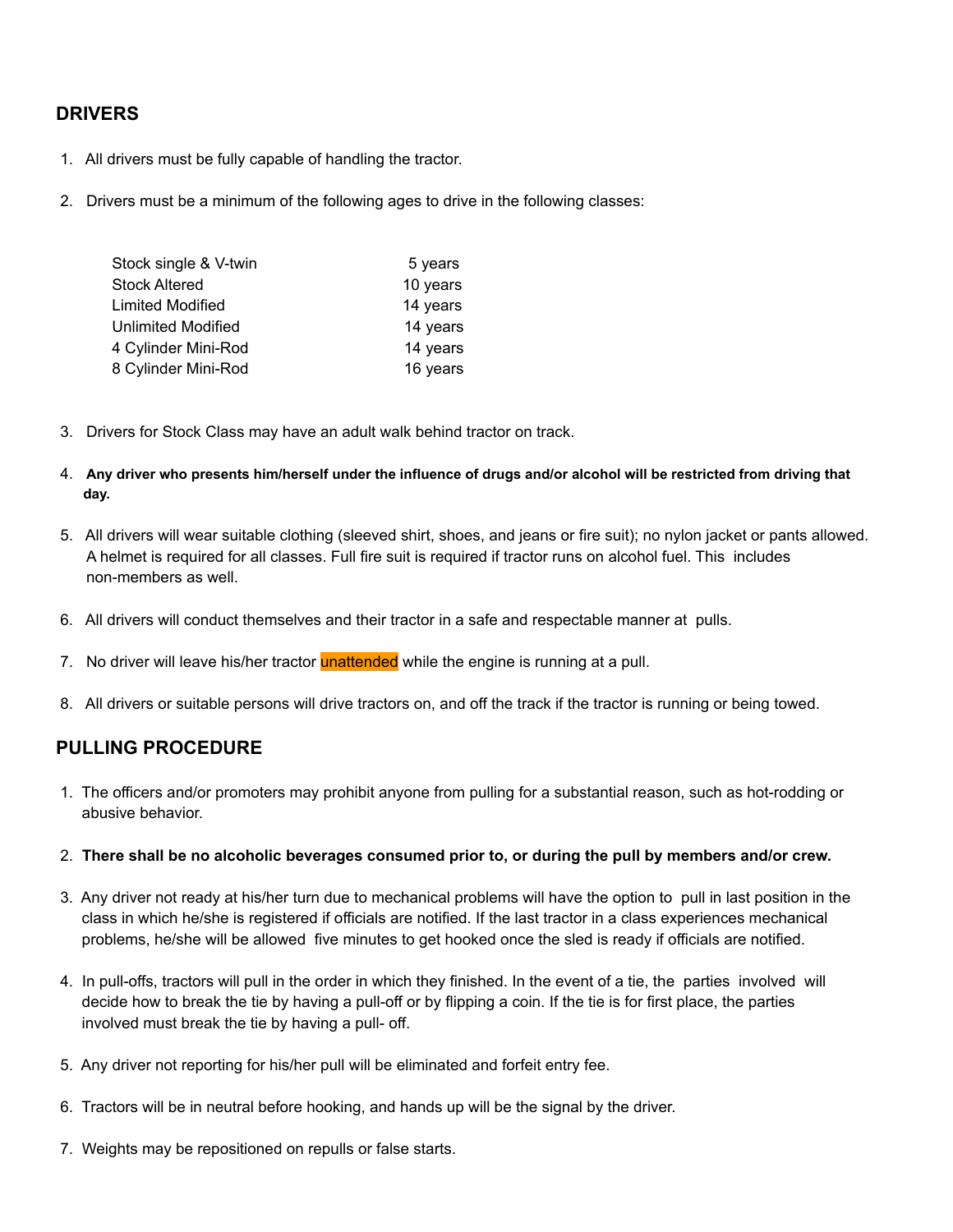# **DRIVERS**

- 1. All drivers must be fully capable of handling the tractor.
- 2. Drivers must be a minimum of the following ages to drive in the following classes:

| Stock single & V-twin | 5 years  |
|-----------------------|----------|
| Stock Altered         | 10 years |
| Limited Modified      | 14 years |
| Unlimited Modified    | 14 years |
| 4 Cylinder Mini-Rod   | 14 years |
| 8 Cylinder Mini-Rod   | 16 years |
|                       |          |

- 3. Drivers for Stock Class may have an adult walk behind tractor on track.
- 4. **Any driver who presents him/herself under the influence of drugs and/or alcohol will be restricted from driving that day.**
- 5. All drivers will wear suitable clothing (sleeved shirt, shoes, and jeans or fire suit); no nylon jacket or pants allowed. A helmet is required for all classes. Full fire suit is required if tractor runs on alcohol fuel. This includes non-members as well.
- 6. All drivers will conduct themselves and their tractor in a safe and respectable manner at pulls.
- 7. No driver will leave his/her tractor unattended while the engine is running at a pull.
- 8. All drivers or suitable persons will drive tractors on, and off the track if the tractor is running or being towed.

# **PULLING PROCEDURE**

- 1. The officers and/or promoters may prohibit anyone from pulling for a substantial reason, such as hot-rodding or abusive behavior.
- 2. **There shall be no alcoholic beverages consumed prior to, or during the pull by members and/or crew.**
- 3. Any driver not ready at his/her turn due to mechanical problems will have the option to pull in last position in the class in which he/she is registered if officials are notified. If the last tractor in a class experiences mechanical problems, he/she will be allowed five minutes to get hooked once the sled is ready if officials are notified.
- 4. In pull-offs, tractors will pull in the order in which they finished. In the event of a tie, the parties involved will decide how to break the tie by having a pull-off or by flipping a coin. If the tie is for first place, the parties involved must break the tie by having a pull- off.
- 5. Any driver not reporting for his/her pull will be eliminated and forfeit entry fee.
- 6. Tractors will be in neutral before hooking, and hands up will be the signal by the driver.
- 7. Weights may be repositioned on repulls or false starts.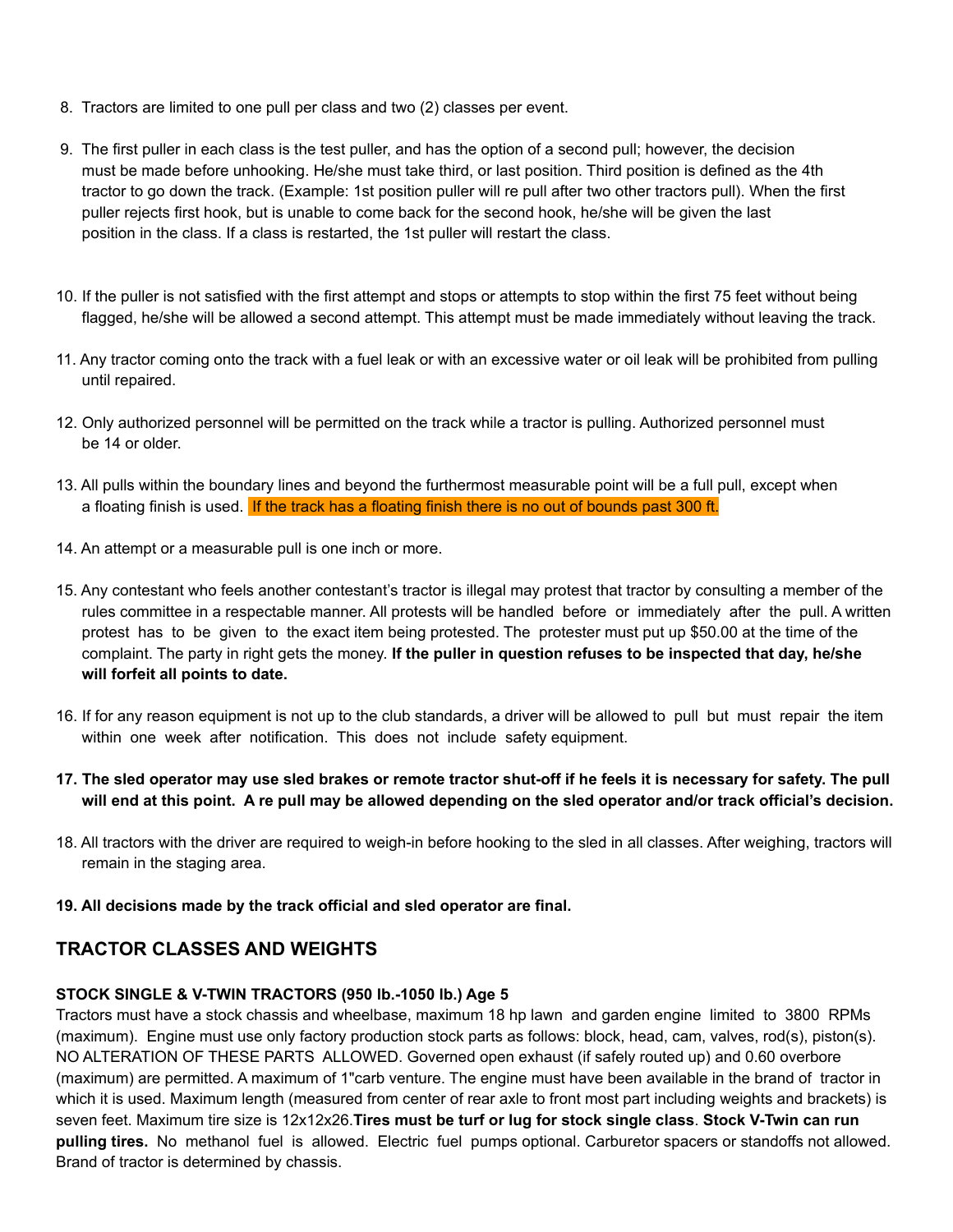- 8. Tractors are limited to one pull per class and two (2) classes per event.
- 9. The first puller in each class is the test puller, and has the option of a second pull; however, the decision must be made before unhooking. He/she must take third, or last position. Third position is defined as the 4th tractor to go down the track. (Example: 1st position puller will re pull after two other tractors pull). When the first puller rejects first hook, but is unable to come back for the second hook, he/she will be given the last position in the class. If a class is restarted, the 1st puller will restart the class.
- 10. If the puller is not satisfied with the first attempt and stops or attempts to stop within the first 75 feet without being flagged, he/she will be allowed a second attempt. This attempt must be made immediately without leaving the track.
- 11. Any tractor coming onto the track with a fuel leak or with an excessive water or oil leak will be prohibited from pulling until repaired.
- 12. Only authorized personnel will be permitted on the track while a tractor is pulling. Authorized personnel must be 14 or older.
- 13. All pulls within the boundary lines and beyond the furthermost measurable point will be a full pull, except when a floating finish is used. If the track has a floating finish there is no out of bounds past 300 ft.
- 14. An attempt or a measurable pull is one inch or more.
- 15. Any contestant who feels another contestant's tractor is illegal may protest that tractor by consulting a member of the rules committee in a respectable manner. All protests will be handled before or immediately after the pull. A written protest has to be given to the exact item being protested. The protester must put up \$50.00 at the time of the complaint. The party in right gets the money. **If the puller in question refuses to be inspected that day, he/she will forfeit all points to date.**
- 16. If for any reason equipment is not up to the club standards, a driver will be allowed to pull but must repair the item within one week after notification. This does not include safety equipment.
- 17. The sled operator may use sled brakes or remote tractor shut-off if he feels it is necessary for safety. The pull will end at this point. A re pull may be allowed depending on the sled operator and/or track official's decision.
- 18. All tractors with the driver are required to weigh-in before hooking to the sled in all classes. After weighing, tractors will remain in the staging area.
- **19. All decisions made by the track official and sled operator are final.**

# **TRACTOR CLASSES AND WEIGHTS**

## **STOCK SINGLE & V-TWIN TRACTORS (950 lb.-1050 lb.) Age 5**

Tractors must have a stock chassis and wheelbase, maximum 18 hp lawn and garden engine limited to 3800 RPMs (maximum). Engine must use only factory production stock parts as follows: block, head, cam, valves, rod(s), piston(s). NO ALTERATION OF THESE PARTS ALLOWED. Governed open exhaust (if safely routed up) and 0.60 overbore (maximum) are permitted. A maximum of 1"carb venture. The engine must have been available in the brand of tractor in which it is used. Maximum length (measured from center of rear axle to front most part including weights and brackets) is seven feet. Maximum tire size is 12x12x26.**Tires must be turf or lug for stock single class**. **Stock V-Twin can run pulling tires.** No methanol fuel is allowed. Electric fuel pumps optional. Carburetor spacers or standoffs not allowed. Brand of tractor is determined by chassis.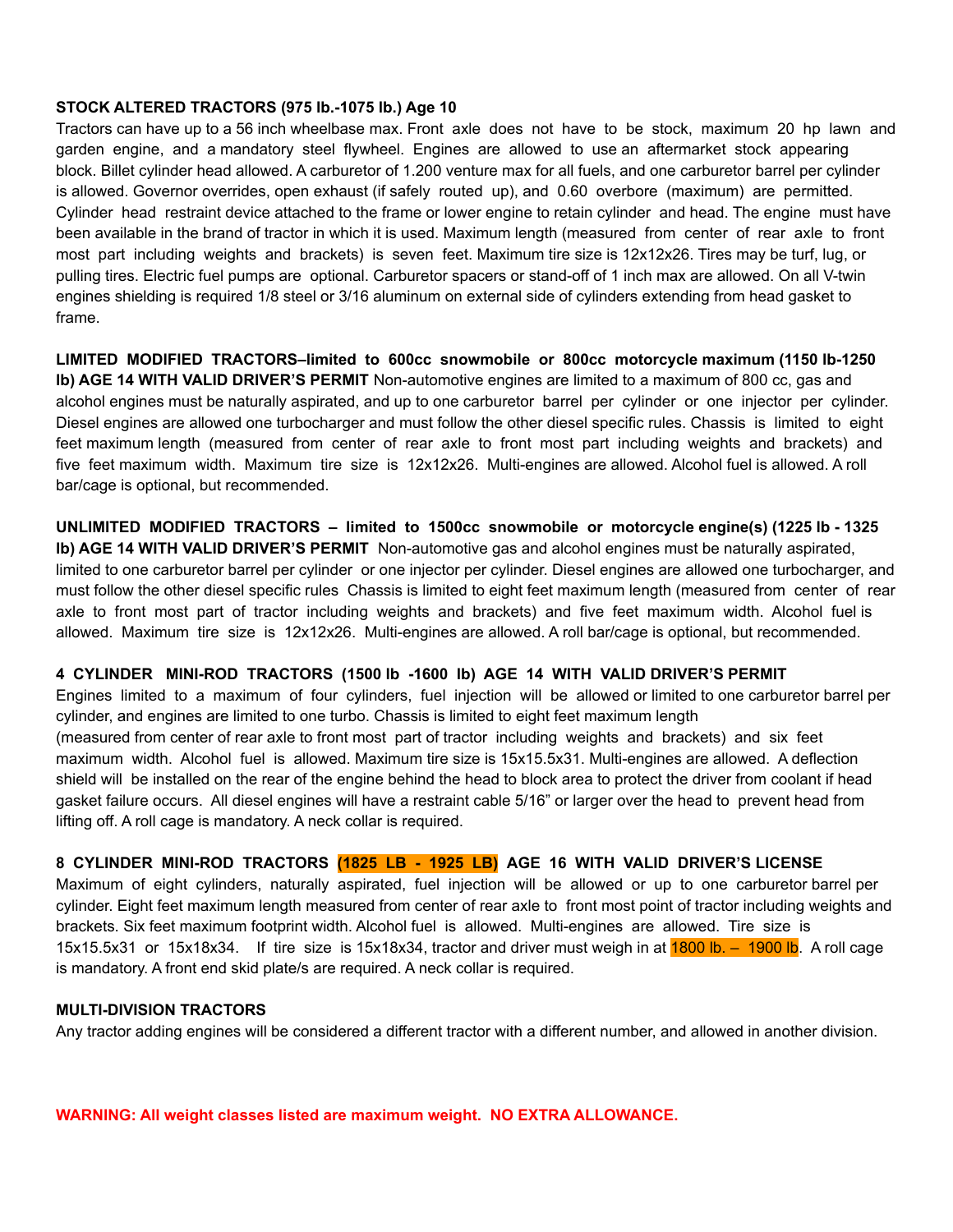#### **STOCK ALTERED TRACTORS (975 lb.-1075 lb.) Age 10**

Tractors can have up to a 56 inch wheelbase max. Front axle does not have to be stock, maximum 20 hp lawn and garden engine, and a mandatory steel flywheel. Engines are allowed to use an aftermarket stock appearing block. Billet cylinder head allowed. A carburetor of 1.200 venture max for all fuels, and one carburetor barrel per cylinder is allowed. Governor overrides, open exhaust (if safely routed up), and 0.60 overbore (maximum) are permitted. Cylinder head restraint device attached to the frame or lower engine to retain cylinder and head. The engine must have been available in the brand of tractor in which it is used. Maximum length (measured from center of rear axle to front most part including weights and brackets) is seven feet. Maximum tire size is 12x12x26. Tires may be turf, lug, or pulling tires. Electric fuel pumps are optional. Carburetor spacers or stand-off of 1 inch max are allowed. On all V-twin engines shielding is required 1/8 steel or 3/16 aluminum on external side of cylinders extending from head gasket to frame.

**LIMITED MODIFIED TRACTORS–limited to 600cc snowmobile or 800cc motorcycle maximum (1150 lb-1250 lb) AGE 14 WITH VALID DRIVER'S PERMIT** Non-automotive engines are limited to a maximum of 800 cc, gas and alcohol engines must be naturally aspirated, and up to one carburetor barrel per cylinder or one injector per cylinder. Diesel engines are allowed one turbocharger and must follow the other diesel specific rules. Chassis is limited to eight feet maximum length (measured from center of rear axle to front most part including weights and brackets) and five feet maximum width. Maximum tire size is 12x12x26. Multi-engines are allowed. Alcohol fuel is allowed. A roll bar/cage is optional, but recommended.

**UNLIMITED MODIFIED TRACTORS – limited to 1500cc snowmobile or motorcycle engine(s) (1225 lb - 1325 lb) AGE 14 WITH VALID DRIVER'S PERMIT** Non-automotive gas and alcohol engines must be naturally aspirated, limited to one carburetor barrel per cylinder or one injector per cylinder. Diesel engines are allowed one turbocharger, and must follow the other diesel specific rules Chassis is limited to eight feet maximum length (measured from center of rear axle to front most part of tractor including weights and brackets) and five feet maximum width. Alcohol fuel is allowed. Maximum tire size is 12x12x26. Multi-engines are allowed. A roll bar/cage is optional, but recommended.

## **4 CYLINDER MINI-ROD TRACTORS (1500 lb -1600 lb) AGE 14 WITH VALID DRIVER'S PERMIT**

Engines limited to a maximum of four cylinders, fuel injection will be allowed or limited to one carburetor barrel per cylinder, and engines are limited to one turbo. Chassis is limited to eight feet maximum length (measured from center of rear axle to front most part of tractor including weights and brackets) and six feet maximum width. Alcohol fuel is allowed. Maximum tire size is 15x15.5x31. Multi-engines are allowed. A deflection shield will be installed on the rear of the engine behind the head to block area to protect the driver from coolant if head gasket failure occurs. All diesel engines will have a restraint cable 5/16" or larger over the head to prevent head from lifting off. A roll cage is mandatory. A neck collar is required.

## **8 CYLINDER MINI-ROD TRACTORS (1825 LB - 1925 LB) AGE 16 WITH VALID DRIVER'S LICENSE**

Maximum of eight cylinders, naturally aspirated, fuel injection will be allowed or up to one carburetor barrel per cylinder. Eight feet maximum length measured from center of rear axle to front most point of tractor including weights and brackets. Six feet maximum footprint width. Alcohol fuel is allowed. Multi-engines are allowed. Tire size is 15x15.5x31 or 15x18x34. If tire size is 15x18x34, tractor and driver must weigh in at 1800 lb. – 1900 lb. A roll cage is mandatory. A front end skid plate/s are required. A neck collar is required.

#### **MULTI-DIVISION TRACTORS**

Any tractor adding engines will be considered a different tractor with a different number, and allowed in another division.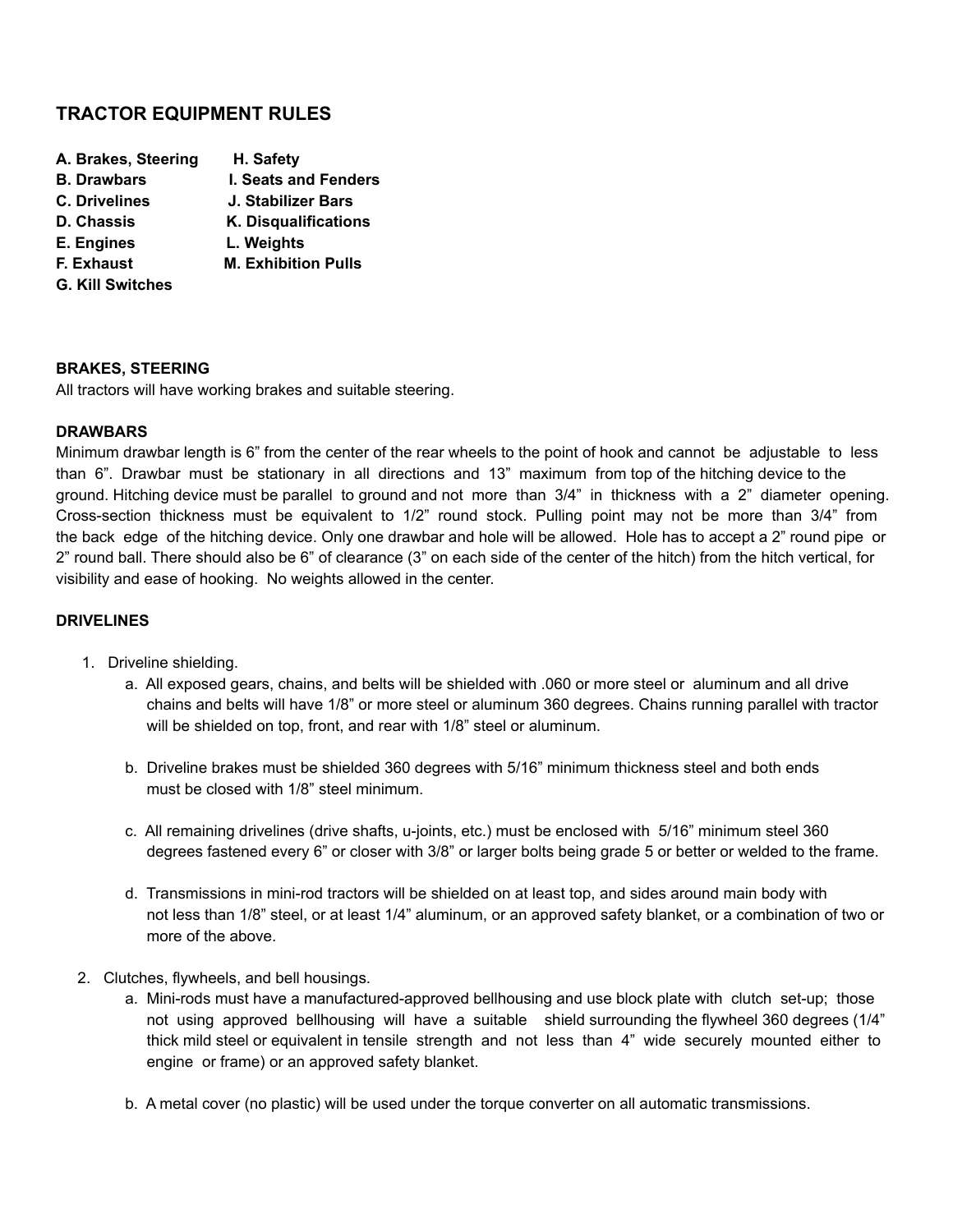# **TRACTOR EQUIPMENT RULES**

| A. Brakes, Steering     | H. Safety                  |
|-------------------------|----------------------------|
| <b>B. Drawbars</b>      | I. Seats and Fenders       |
| <b>C. Drivelines</b>    | J. Stabilizer Bars         |
| <b>D. Chassis</b>       | K. Disqualifications       |
| E. Engines              | L. Weights                 |
| F. Exhaust              | <b>M. Exhibition Pulls</b> |
| <b>G. Kill Switches</b> |                            |
|                         |                            |

#### **BRAKES, STEERING**

All tractors will have working brakes and suitable steering.

#### **DRAWBARS**

Minimum drawbar length is 6" from the center of the rear wheels to the point of hook and cannot be adjustable to less than 6". Drawbar must be stationary in all directions and 13" maximum from top of the hitching device to the ground. Hitching device must be parallel to ground and not more than 3/4" in thickness with a 2" diameter opening. Cross-section thickness must be equivalent to 1/2" round stock. Pulling point may not be more than 3/4" from the back edge of the hitching device. Only one drawbar and hole will be allowed. Hole has to accept a 2" round pipe or 2" round ball. There should also be 6" of clearance (3" on each side of the center of the hitch) from the hitch vertical, for visibility and ease of hooking. No weights allowed in the center.

#### **DRIVELINES**

- 1. Driveline shielding.
	- a. All exposed gears, chains, and belts will be shielded with .060 or more steel or aluminum and all drive chains and belts will have 1/8" or more steel or aluminum 360 degrees. Chains running parallel with tractor will be shielded on top, front, and rear with 1/8" steel or aluminum.
	- b. Driveline brakes must be shielded 360 degrees with 5/16" minimum thickness steel and both ends must be closed with 1/8" steel minimum.
	- c. All remaining drivelines (drive shafts, u-joints, etc.) must be enclosed with 5/16" minimum steel 360 degrees fastened every 6" or closer with 3/8" or larger bolts being grade 5 or better or welded to the frame.
	- d. Transmissions in mini-rod tractors will be shielded on at least top, and sides around main body with not less than 1/8" steel, or at least 1/4" aluminum, or an approved safety blanket, or a combination of two or more of the above.
- 2. Clutches, flywheels, and bell housings.
	- a. Mini-rods must have a manufactured-approved bellhousing and use block plate with clutch set-up; those not using approved bellhousing will have a suitable shield surrounding the flywheel 360 degrees (1/4" thick mild steel or equivalent in tensile strength and not less than 4" wide securely mounted either to engine or frame) or an approved safety blanket.
	- b. A metal cover (no plastic) will be used under the torque converter on all automatic transmissions.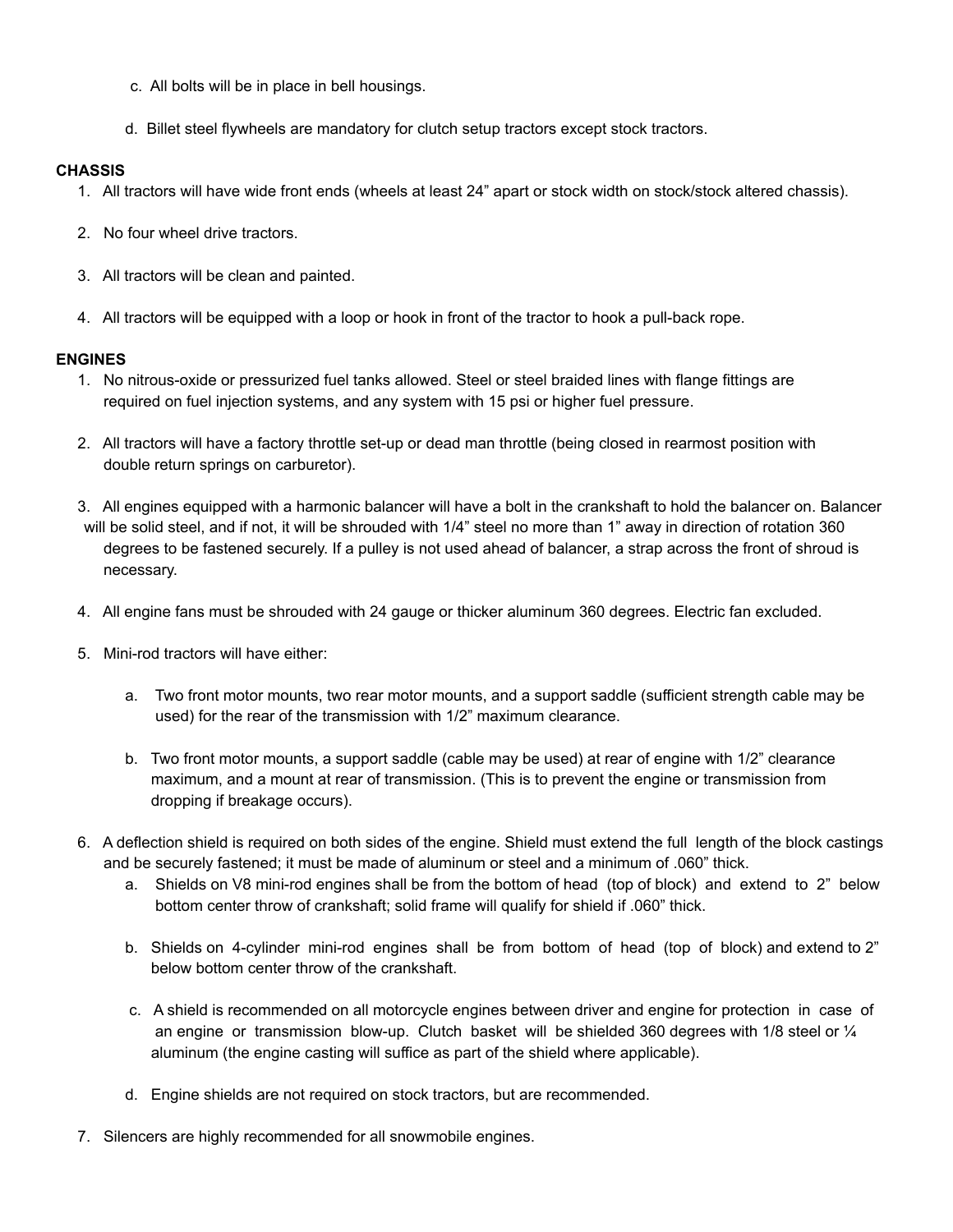- c. All bolts will be in place in bell housings.
- d. Billet steel flywheels are mandatory for clutch setup tractors except stock tractors.

#### **CHASSIS**

- 1. All tractors will have wide front ends (wheels at least 24" apart or stock width on stock/stock altered chassis).
- 2. No four wheel drive tractors.
- 3. All tractors will be clean and painted.
- 4. All tractors will be equipped with a loop or hook in front of the tractor to hook a pull-back rope.

#### **ENGINES**

- 1. No nitrous-oxide or pressurized fuel tanks allowed. Steel or steel braided lines with flange fittings are required on fuel injection systems, and any system with 15 psi or higher fuel pressure.
- 2. All tractors will have a factory throttle set-up or dead man throttle (being closed in rearmost position with double return springs on carburetor).
- 3. All engines equipped with a harmonic balancer will have a bolt in the crankshaft to hold the balancer on. Balancer will be solid steel, and if not, it will be shrouded with 1/4" steel no more than 1" away in direction of rotation 360 degrees to be fastened securely. If a pulley is not used ahead of balancer, a strap across the front of shroud is necessary.
- 4. All engine fans must be shrouded with 24 gauge or thicker aluminum 360 degrees. Electric fan excluded.
- 5. Mini-rod tractors will have either:
	- a. Two front motor mounts, two rear motor mounts, and a support saddle (sufficient strength cable may be used) for the rear of the transmission with 1/2" maximum clearance.
	- b. Two front motor mounts, a support saddle (cable may be used) at rear of engine with 1/2" clearance maximum, and a mount at rear of transmission. (This is to prevent the engine or transmission from dropping if breakage occurs).
- 6. A deflection shield is required on both sides of the engine. Shield must extend the full length of the block castings and be securely fastened; it must be made of aluminum or steel and a minimum of .060" thick.
	- a. Shields on V8 mini-rod engines shall be from the bottom of head (top of block) and extend to 2" below bottom center throw of crankshaft; solid frame will qualify for shield if .060" thick.
	- b. Shields on 4-cylinder mini-rod engines shall be from bottom of head (top of block) and extend to 2" below bottom center throw of the crankshaft.
	- c. A shield is recommended on all motorcycle engines between driver and engine for protection in case of an engine or transmission blow-up. Clutch basket will be shielded 360 degrees with 1/8 steel or  $\frac{1}{4}$ aluminum (the engine casting will suffice as part of the shield where applicable).
	- d. Engine shields are not required on stock tractors, but are recommended.
- 7. Silencers are highly recommended for all snowmobile engines.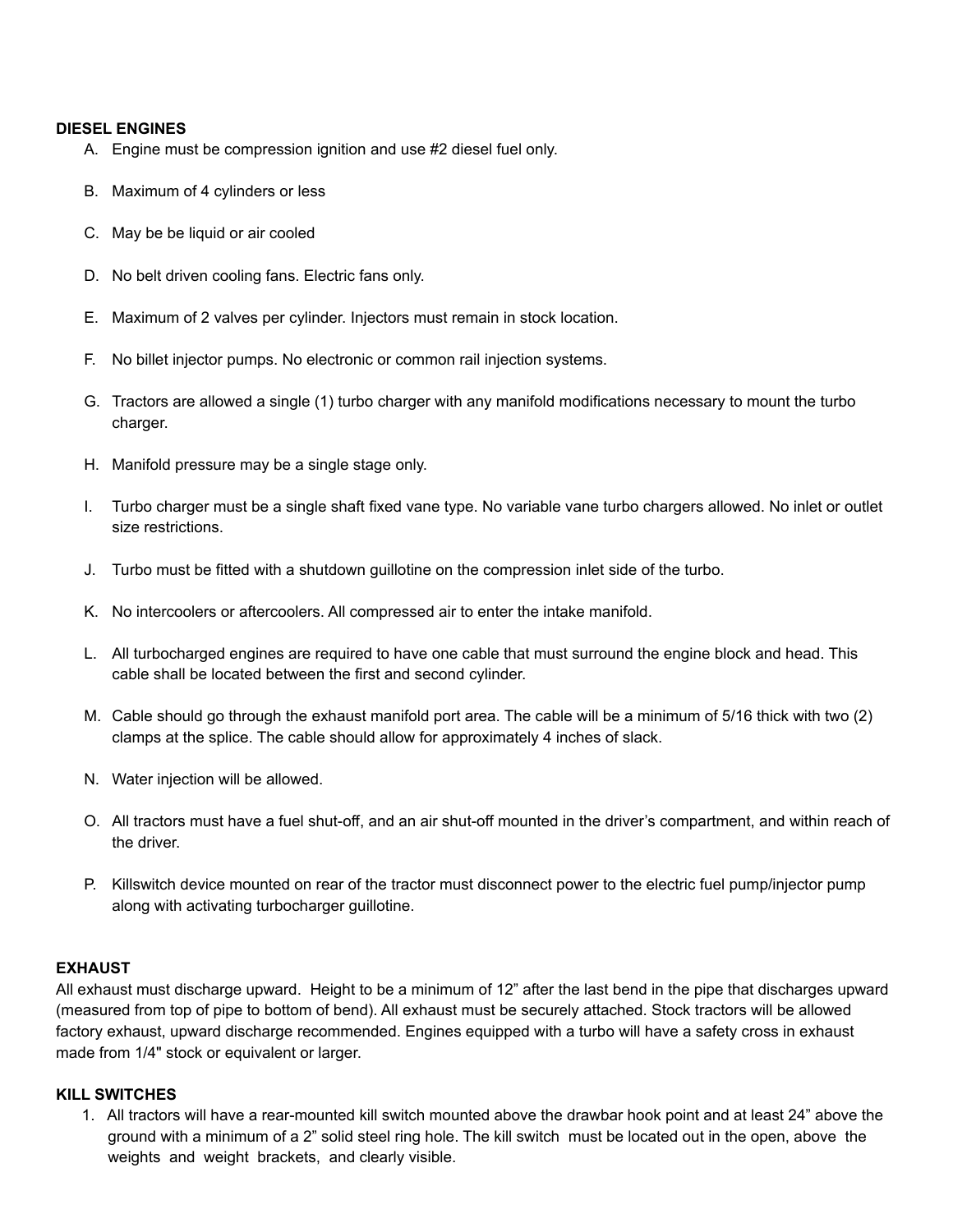#### **DIESEL ENGINES**

- A. Engine must be compression ignition and use #2 diesel fuel only.
- B. Maximum of 4 cylinders or less
- C. May be be liquid or air cooled
- D. No belt driven cooling fans. Electric fans only.
- E. Maximum of 2 valves per cylinder. Injectors must remain in stock location.
- F. No billet injector pumps. No electronic or common rail injection systems.
- G. Tractors are allowed a single (1) turbo charger with any manifold modifications necessary to mount the turbo charger.
- H. Manifold pressure may be a single stage only.
- I. Turbo charger must be a single shaft fixed vane type. No variable vane turbo chargers allowed. No inlet or outlet size restrictions.
- J. Turbo must be fitted with a shutdown guillotine on the compression inlet side of the turbo.
- K. No intercoolers or aftercoolers. All compressed air to enter the intake manifold.
- L. All turbocharged engines are required to have one cable that must surround the engine block and head. This cable shall be located between the first and second cylinder.
- M. Cable should go through the exhaust manifold port area. The cable will be a minimum of 5/16 thick with two (2) clamps at the splice. The cable should allow for approximately 4 inches of slack.
- N. Water injection will be allowed.
- O. All tractors must have a fuel shut-off, and an air shut-off mounted in the driver's compartment, and within reach of the driver.
- P. Killswitch device mounted on rear of the tractor must disconnect power to the electric fuel pump/injector pump along with activating turbocharger guillotine.

## **EXHAUST**

All exhaust must discharge upward. Height to be a minimum of 12" after the last bend in the pipe that discharges upward (measured from top of pipe to bottom of bend). All exhaust must be securely attached. Stock tractors will be allowed factory exhaust, upward discharge recommended. Engines equipped with a turbo will have a safety cross in exhaust made from 1/4" stock or equivalent or larger.

#### **KILL SWITCHES**

1. All tractors will have a rear-mounted kill switch mounted above the drawbar hook point and at least 24" above the ground with a minimum of a 2" solid steel ring hole. The kill switch must be located out in the open, above the weights and weight brackets, and clearly visible.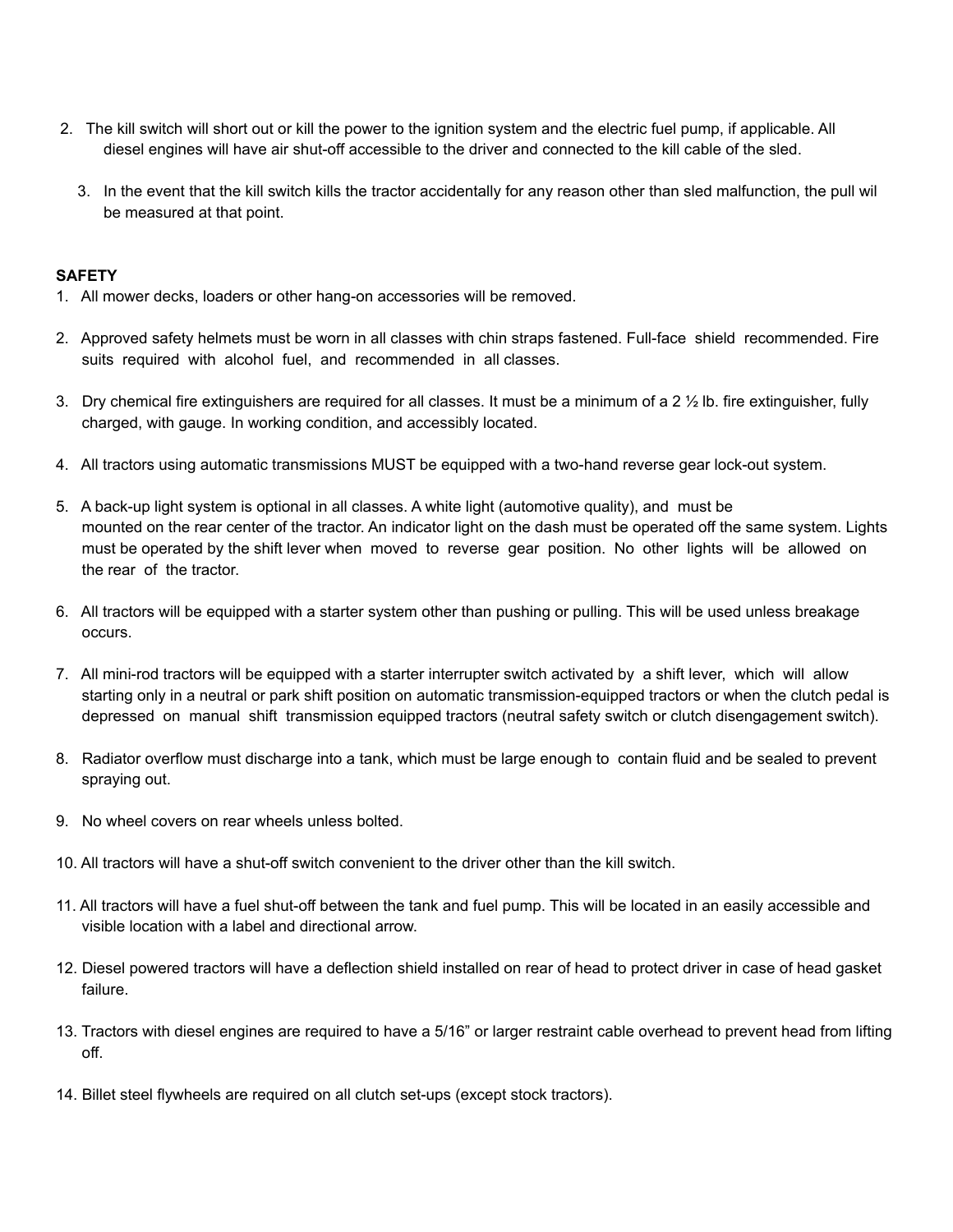- 2. The kill switch will short out or kill the power to the ignition system and the electric fuel pump, if applicable. All diesel engines will have air shut-off accessible to the driver and connected to the kill cable of the sled.
	- 3. In the event that the kill switch kills the tractor accidentally for any reason other than sled malfunction, the pull wil be measured at that point.

#### **SAFETY**

- 1. All mower decks, loaders or other hang-on accessories will be removed.
- 2. Approved safety helmets must be worn in all classes with chin straps fastened. Full-face shield recommended. Fire suits required with alcohol fuel, and recommended in all classes.
- 3. Dry chemical fire extinguishers are required for all classes. It must be a minimum of a 2 ½ lb. fire extinguisher, fully charged, with gauge. In working condition, and accessibly located.
- 4. All tractors using automatic transmissions MUST be equipped with a two-hand reverse gear lock-out system.
- 5. A back-up light system is optional in all classes. A white light (automotive quality), and must be mounted on the rear center of the tractor. An indicator light on the dash must be operated off the same system. Lights must be operated by the shift lever when moved to reverse gear position. No other lights will be allowed on the rear of the tractor.
- 6. All tractors will be equipped with a starter system other than pushing or pulling. This will be used unless breakage occurs.
- 7. All mini-rod tractors will be equipped with a starter interrupter switch activated by a shift lever, which will allow starting only in a neutral or park shift position on automatic transmission-equipped tractors or when the clutch pedal is depressed on manual shift transmission equipped tractors (neutral safety switch or clutch disengagement switch).
- 8. Radiator overflow must discharge into a tank, which must be large enough to contain fluid and be sealed to prevent spraying out.
- 9. No wheel covers on rear wheels unless bolted.
- 10. All tractors will have a shut-off switch convenient to the driver other than the kill switch.
- 11. All tractors will have a fuel shut-off between the tank and fuel pump. This will be located in an easily accessible and visible location with a label and directional arrow.
- 12. Diesel powered tractors will have a deflection shield installed on rear of head to protect driver in case of head gasket failure.
- 13. Tractors with diesel engines are required to have a 5/16" or larger restraint cable overhead to prevent head from lifting off.
- 14. Billet steel flywheels are required on all clutch set-ups (except stock tractors).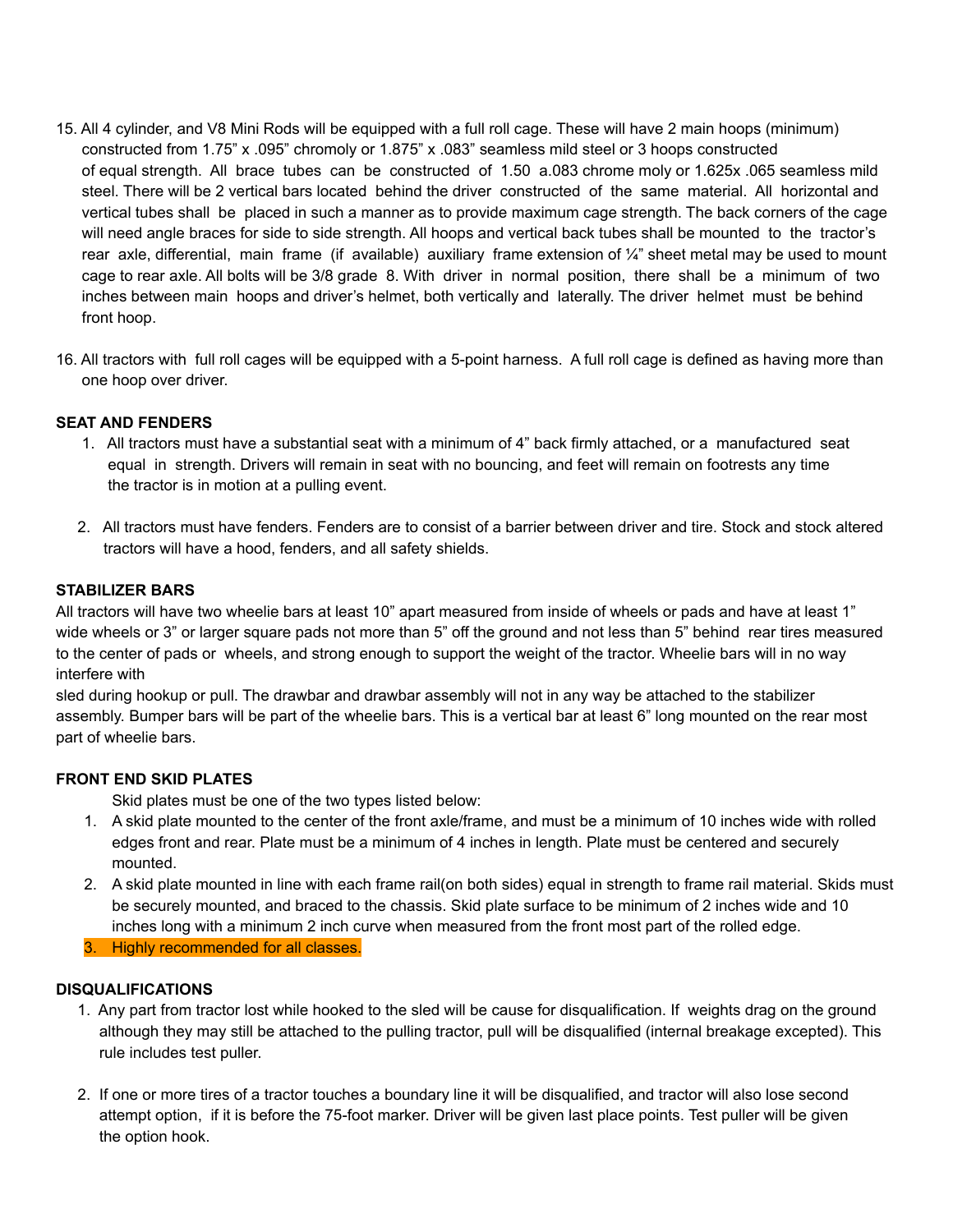- 15. All 4 cylinder, and V8 Mini Rods will be equipped with a full roll cage. These will have 2 main hoops (minimum) constructed from 1.75" x .095" chromoly or 1.875" x .083" seamless mild steel or 3 hoops constructed of equal strength. All brace tubes can be constructed of 1.50 a.083 chrome moly or 1.625x .065 seamless mild steel. There will be 2 vertical bars located behind the driver constructed of the same material. All horizontal and vertical tubes shall be placed in such a manner as to provide maximum cage strength. The back corners of the cage will need angle braces for side to side strength. All hoops and vertical back tubes shall be mounted to the tractor's rear axle, differential, main frame (if available) auxiliary frame extension of ¼" sheet metal may be used to mount cage to rear axle. All bolts will be 3/8 grade 8. With driver in normal position, there shall be a minimum of two inches between main hoops and driver's helmet, both vertically and laterally. The driver helmet must be behind front hoop.
- 16. All tractors with full roll cages will be equipped with a 5-point harness. A full roll cage is defined as having more than one hoop over driver.

## **SEAT AND FENDERS**

- 1. All tractors must have a substantial seat with a minimum of 4" back firmly attached, or a manufactured seat equal in strength. Drivers will remain in seat with no bouncing, and feet will remain on footrests any time the tractor is in motion at a pulling event.
- 2. All tractors must have fenders. Fenders are to consist of a barrier between driver and tire. Stock and stock altered tractors will have a hood, fenders, and all safety shields.

#### **STABILIZER BARS**

All tractors will have two wheelie bars at least 10" apart measured from inside of wheels or pads and have at least 1" wide wheels or 3" or larger square pads not more than 5" off the ground and not less than 5" behind rear tires measured to the center of pads or wheels, and strong enough to support the weight of the tractor. Wheelie bars will in no way interfere with

sled during hookup or pull. The drawbar and drawbar assembly will not in any way be attached to the stabilizer assembly. Bumper bars will be part of the wheelie bars. This is a vertical bar at least 6" long mounted on the rear most part of wheelie bars.

## **FRONT END SKID PLATES**

Skid plates must be one of the two types listed below:

- 1. A skid plate mounted to the center of the front axle/frame, and must be a minimum of 10 inches wide with rolled edges front and rear. Plate must be a minimum of 4 inches in length. Plate must be centered and securely mounted.
- 2. A skid plate mounted in line with each frame rail(on both sides) equal in strength to frame rail material. Skids must be securely mounted, and braced to the chassis. Skid plate surface to be minimum of 2 inches wide and 10 inches long with a minimum 2 inch curve when measured from the front most part of the rolled edge.

3. Highly recommended for all classes.

#### **DISQUALIFICATIONS**

- 1. Any part from tractor lost while hooked to the sled will be cause for disqualification. If weights drag on the ground although they may still be attached to the pulling tractor, pull will be disqualified (internal breakage excepted). This rule includes test puller.
- 2. If one or more tires of a tractor touches a boundary line it will be disqualified, and tractor will also lose second attempt option, if it is before the 75-foot marker. Driver will be given last place points. Test puller will be given the option hook.